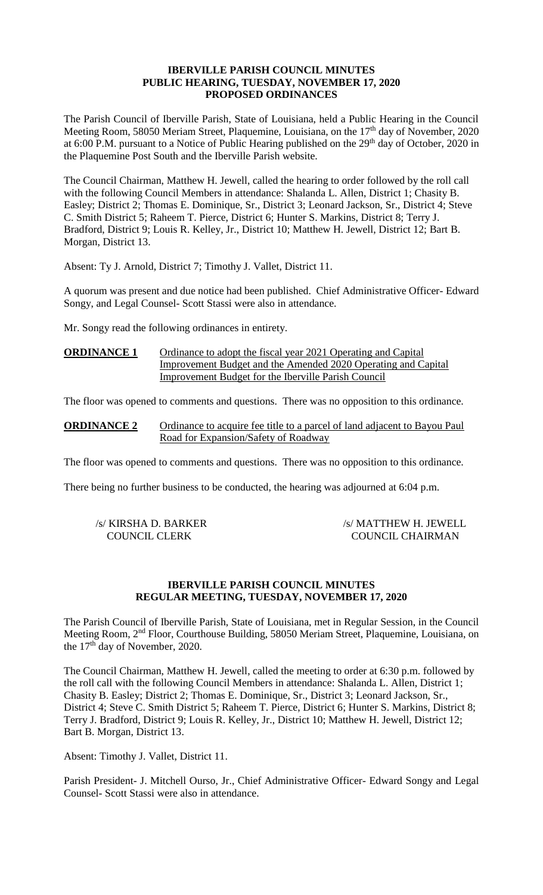# **IBERVILLE PARISH COUNCIL MINUTES PUBLIC HEARING, TUESDAY, NOVEMBER 17, 2020 PROPOSED ORDINANCES**

The Parish Council of Iberville Parish, State of Louisiana, held a Public Hearing in the Council Meeting Room, 58050 Meriam Street, Plaquemine, Louisiana, on the 17<sup>th</sup> day of November, 2020 at 6:00 P.M. pursuant to a Notice of Public Hearing published on the 29<sup>th</sup> day of October, 2020 in the Plaquemine Post South and the Iberville Parish website.

The Council Chairman, Matthew H. Jewell, called the hearing to order followed by the roll call with the following Council Members in attendance: Shalanda L. Allen, District 1; Chasity B. Easley; District 2; Thomas E. Dominique, Sr., District 3; Leonard Jackson, Sr., District 4; Steve C. Smith District 5; Raheem T. Pierce, District 6; Hunter S. Markins, District 8; Terry J. Bradford, District 9; Louis R. Kelley, Jr., District 10; Matthew H. Jewell, District 12; Bart B. Morgan, District 13.

Absent: Ty J. Arnold, District 7; Timothy J. Vallet, District 11.

A quorum was present and due notice had been published. Chief Administrative Officer- Edward Songy, and Legal Counsel- Scott Stassi were also in attendance.

Mr. Songy read the following ordinances in entirety.

# **ORDINANCE 1** Ordinance to adopt the fiscal year 2021 Operating and Capital Improvement Budget and the Amended 2020 Operating and Capital Improvement Budget for the Iberville Parish Council

The floor was opened to comments and questions. There was no opposition to this ordinance.

**ORDINANCE 2** Ordinance to acquire fee title to a parcel of land adjacent to Bayou Paul Road for Expansion/Safety of Roadway

The floor was opened to comments and questions. There was no opposition to this ordinance.

There being no further business to be conducted, the hearing was adjourned at 6:04 p.m.

| /s/ KIRSHA D. BARKER | /s/ MATTHEW H. JEWELL   |
|----------------------|-------------------------|
| <b>COUNCIL CLERK</b> | <b>COUNCIL CHAIRMAN</b> |

# **IBERVILLE PARISH COUNCIL MINUTES REGULAR MEETING, TUESDAY, NOVEMBER 17, 2020**

The Parish Council of Iberville Parish, State of Louisiana, met in Regular Session, in the Council Meeting Room, 2nd Floor, Courthouse Building, 58050 Meriam Street, Plaquemine, Louisiana, on the  $17<sup>th</sup>$  day of November, 2020.

The Council Chairman, Matthew H. Jewell, called the meeting to order at 6:30 p.m. followed by the roll call with the following Council Members in attendance: Shalanda L. Allen, District 1; Chasity B. Easley; District 2; Thomas E. Dominique, Sr., District 3; Leonard Jackson, Sr., District 4; Steve C. Smith District 5; Raheem T. Pierce, District 6; Hunter S. Markins, District 8; Terry J. Bradford, District 9; Louis R. Kelley, Jr., District 10; Matthew H. Jewell, District 12; Bart B. Morgan, District 13.

Absent: Timothy J. Vallet, District 11.

Parish President- J. Mitchell Ourso, Jr., Chief Administrative Officer- Edward Songy and Legal Counsel- Scott Stassi were also in attendance.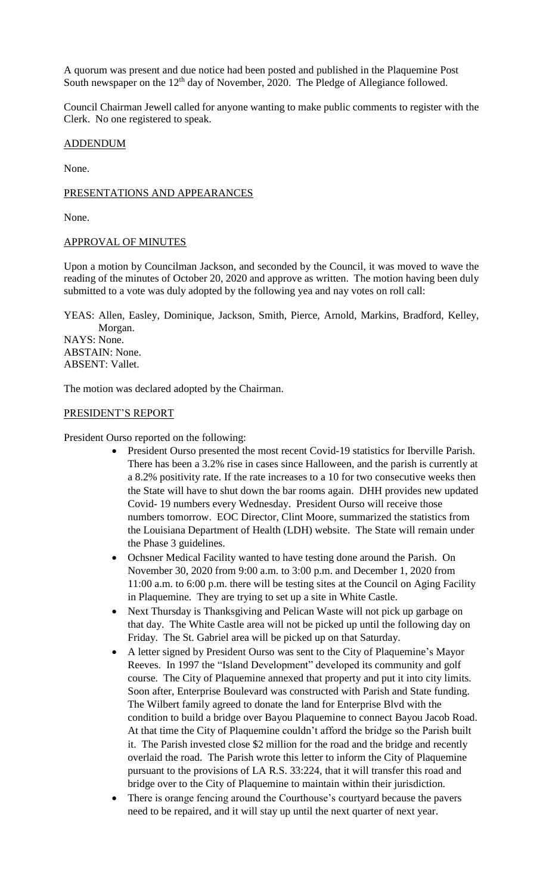A quorum was present and due notice had been posted and published in the Plaquemine Post South newspaper on the  $12<sup>th</sup>$  day of November, 2020. The Pledge of Allegiance followed.

Council Chairman Jewell called for anyone wanting to make public comments to register with the Clerk. No one registered to speak.

# ADDENDUM

None.

# PRESENTATIONS AND APPEARANCES

None.

### APPROVAL OF MINUTES

Upon a motion by Councilman Jackson, and seconded by the Council, it was moved to wave the reading of the minutes of October 20, 2020 and approve as written. The motion having been duly submitted to a vote was duly adopted by the following yea and nay votes on roll call:

YEAS: Allen, Easley, Dominique, Jackson, Smith, Pierce, Arnold, Markins, Bradford, Kelley, Morgan. NAYS: None. ABSTAIN: None.

ABSENT: Vallet.

The motion was declared adopted by the Chairman.

# PRESIDENT'S REPORT

President Ourso reported on the following:

- President Ourso presented the most recent Covid-19 statistics for Iberville Parish. There has been a 3.2% rise in cases since Halloween, and the parish is currently at a 8.2% positivity rate. If the rate increases to a 10 for two consecutive weeks then the State will have to shut down the bar rooms again. DHH provides new updated Covid- 19 numbers every Wednesday. President Ourso will receive those numbers tomorrow. EOC Director, Clint Moore, summarized the statistics from the Louisiana Department of Health (LDH) website. The State will remain under the Phase 3 guidelines.
- Ochsner Medical Facility wanted to have testing done around the Parish. On November 30, 2020 from 9:00 a.m. to 3:00 p.m. and December 1, 2020 from 11:00 a.m. to 6:00 p.m. there will be testing sites at the Council on Aging Facility in Plaquemine. They are trying to set up a site in White Castle.
- Next Thursday is Thanksgiving and Pelican Waste will not pick up garbage on that day. The White Castle area will not be picked up until the following day on Friday. The St. Gabriel area will be picked up on that Saturday.
- A letter signed by President Ourso was sent to the City of Plaquemine's Mayor Reeves. In 1997 the "Island Development" developed its community and golf course. The City of Plaquemine annexed that property and put it into city limits. Soon after, Enterprise Boulevard was constructed with Parish and State funding. The Wilbert family agreed to donate the land for Enterprise Blvd with the condition to build a bridge over Bayou Plaquemine to connect Bayou Jacob Road. At that time the City of Plaquemine couldn't afford the bridge so the Parish built it. The Parish invested close \$2 million for the road and the bridge and recently overlaid the road. The Parish wrote this letter to inform the City of Plaquemine pursuant to the provisions of LA R.S. 33:224, that it will transfer this road and bridge over to the City of Plaquemine to maintain within their jurisdiction.
- There is orange fencing around the Courthouse's courtyard because the pavers need to be repaired, and it will stay up until the next quarter of next year.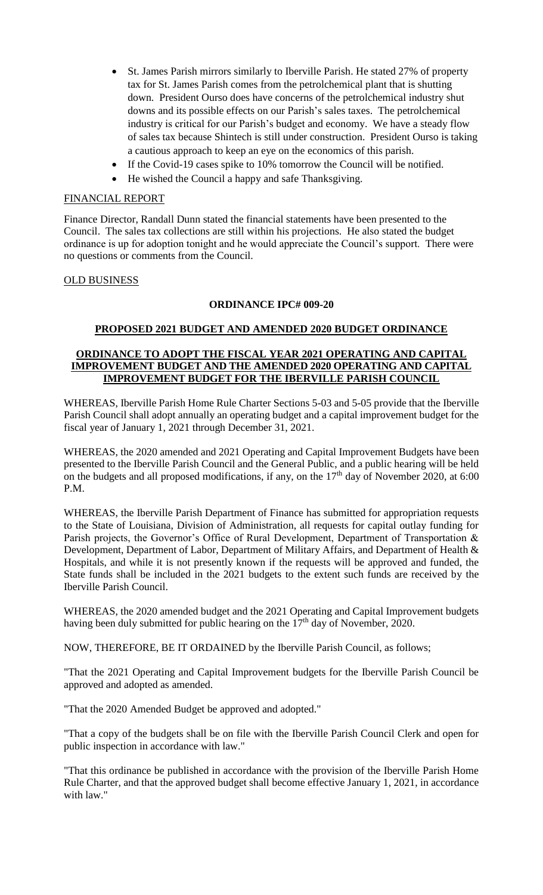- St. James Parish mirrors similarly to Iberville Parish. He stated 27% of property tax for St. James Parish comes from the petrolchemical plant that is shutting down. President Ourso does have concerns of the petrolchemical industry shut downs and its possible effects on our Parish's sales taxes. The petrolchemical industry is critical for our Parish's budget and economy. We have a steady flow of sales tax because Shintech is still under construction. President Ourso is taking a cautious approach to keep an eye on the economics of this parish.
- If the Covid-19 cases spike to 10% tomorrow the Council will be notified.
- He wished the Council a happy and safe Thanksgiving.

### FINANCIAL REPORT

Finance Director, Randall Dunn stated the financial statements have been presented to the Council. The sales tax collections are still within his projections. He also stated the budget ordinance is up for adoption tonight and he would appreciate the Council's support. There were no questions or comments from the Council.

### OLD BUSINESS

### **ORDINANCE IPC# 009-20**

### **PROPOSED 2021 BUDGET AND AMENDED 2020 BUDGET ORDINANCE**

# **ORDINANCE TO ADOPT THE FISCAL YEAR 2021 OPERATING AND CAPITAL IMPROVEMENT BUDGET AND THE AMENDED 2020 OPERATING AND CAPITAL IMPROVEMENT BUDGET FOR THE IBERVILLE PARISH COUNCIL**

WHEREAS, Iberville Parish Home Rule Charter Sections 5-03 and 5-05 provide that the Iberville Parish Council shall adopt annually an operating budget and a capital improvement budget for the fiscal year of January 1, 2021 through December 31, 2021.

WHEREAS, the 2020 amended and 2021 Operating and Capital Improvement Budgets have been presented to the Iberville Parish Council and the General Public, and a public hearing will be held on the budgets and all proposed modifications, if any, on the  $17<sup>th</sup>$  day of November 2020, at 6:00 P.M.

WHEREAS, the Iberville Parish Department of Finance has submitted for appropriation requests to the State of Louisiana, Division of Administration, all requests for capital outlay funding for Parish projects, the Governor's Office of Rural Development, Department of Transportation & Development, Department of Labor, Department of Military Affairs, and Department of Health & Hospitals, and while it is not presently known if the requests will be approved and funded, the State funds shall be included in the 2021 budgets to the extent such funds are received by the Iberville Parish Council.

WHEREAS, the 2020 amended budget and the 2021 Operating and Capital Improvement budgets having been duly submitted for public hearing on the  $17<sup>th</sup>$  day of November, 2020.

NOW, THEREFORE, BE IT ORDAINED by the Iberville Parish Council, as follows;

"That the 2021 Operating and Capital Improvement budgets for the Iberville Parish Council be approved and adopted as amended.

"That the 2020 Amended Budget be approved and adopted."

"That a copy of the budgets shall be on file with the Iberville Parish Council Clerk and open for public inspection in accordance with law."

"That this ordinance be published in accordance with the provision of the Iberville Parish Home Rule Charter, and that the approved budget shall become effective January 1, 2021, in accordance with law."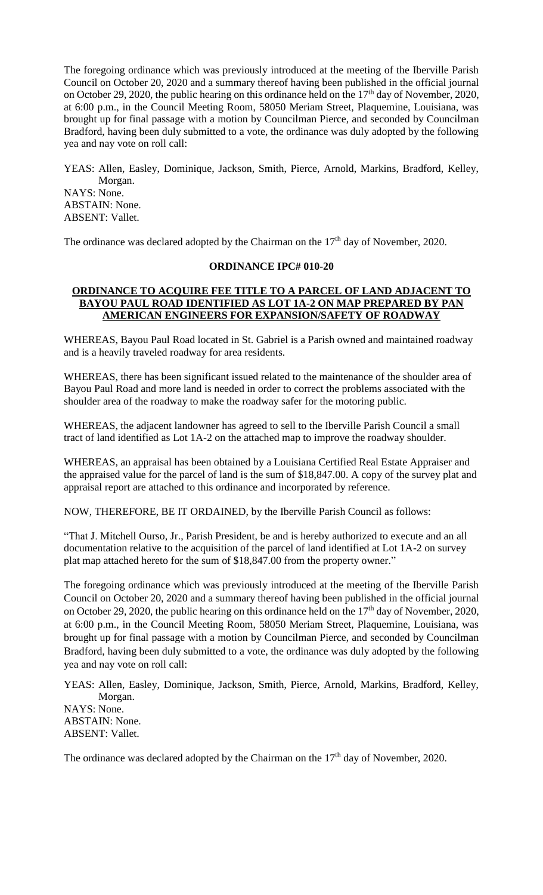The foregoing ordinance which was previously introduced at the meeting of the Iberville Parish Council on October 20, 2020 and a summary thereof having been published in the official journal on October 29, 2020, the public hearing on this ordinance held on the  $17<sup>th</sup>$  day of November, 2020, at 6:00 p.m., in the Council Meeting Room, 58050 Meriam Street, Plaquemine, Louisiana, was brought up for final passage with a motion by Councilman Pierce, and seconded by Councilman Bradford, having been duly submitted to a vote, the ordinance was duly adopted by the following yea and nay vote on roll call:

YEAS: Allen, Easley, Dominique, Jackson, Smith, Pierce, Arnold, Markins, Bradford, Kelley, Morgan. NAYS: None. ABSTAIN: None. ABSENT: Vallet.

The ordinance was declared adopted by the Chairman on the  $17<sup>th</sup>$  day of November, 2020.

# **ORDINANCE IPC# 010-20**

# **ORDINANCE TO ACQUIRE FEE TITLE TO A PARCEL OF LAND ADJACENT TO BAYOU PAUL ROAD IDENTIFIED AS LOT 1A-2 ON MAP PREPARED BY PAN AMERICAN ENGINEERS FOR EXPANSION/SAFETY OF ROADWAY**

WHEREAS, Bayou Paul Road located in St. Gabriel is a Parish owned and maintained roadway and is a heavily traveled roadway for area residents.

WHEREAS, there has been significant issued related to the maintenance of the shoulder area of Bayou Paul Road and more land is needed in order to correct the problems associated with the shoulder area of the roadway to make the roadway safer for the motoring public.

WHEREAS, the adjacent landowner has agreed to sell to the Iberville Parish Council a small tract of land identified as Lot 1A-2 on the attached map to improve the roadway shoulder.

WHEREAS, an appraisal has been obtained by a Louisiana Certified Real Estate Appraiser and the appraised value for the parcel of land is the sum of \$18,847.00. A copy of the survey plat and appraisal report are attached to this ordinance and incorporated by reference.

NOW, THEREFORE, BE IT ORDAINED, by the Iberville Parish Council as follows:

"That J. Mitchell Ourso, Jr., Parish President, be and is hereby authorized to execute and an all documentation relative to the acquisition of the parcel of land identified at Lot 1A-2 on survey plat map attached hereto for the sum of \$18,847.00 from the property owner."

The foregoing ordinance which was previously introduced at the meeting of the Iberville Parish Council on October 20, 2020 and a summary thereof having been published in the official journal on October 29, 2020, the public hearing on this ordinance held on the  $17<sup>th</sup>$  day of November, 2020, at 6:00 p.m., in the Council Meeting Room, 58050 Meriam Street, Plaquemine, Louisiana, was brought up for final passage with a motion by Councilman Pierce, and seconded by Councilman Bradford, having been duly submitted to a vote, the ordinance was duly adopted by the following yea and nay vote on roll call:

YEAS: Allen, Easley, Dominique, Jackson, Smith, Pierce, Arnold, Markins, Bradford, Kelley, Morgan. NAYS: None. ABSTAIN: None. ABSENT: Vallet.

The ordinance was declared adopted by the Chairman on the  $17<sup>th</sup>$  day of November, 2020.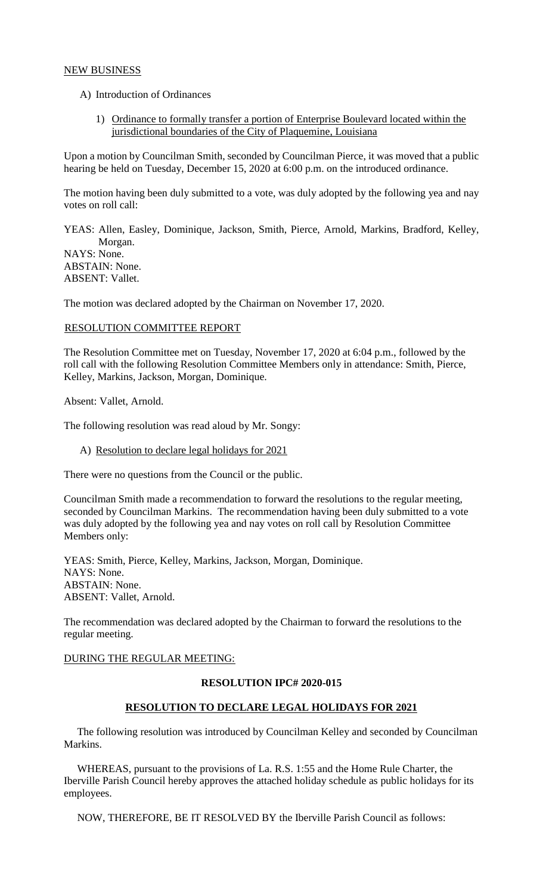# NEW BUSINESS

- A) Introduction of Ordinances
	- 1) Ordinance to formally transfer a portion of Enterprise Boulevard located within the jurisdictional boundaries of the City of Plaquemine, Louisiana

Upon a motion by Councilman Smith, seconded by Councilman Pierce, it was moved that a public hearing be held on Tuesday, December 15, 2020 at 6:00 p.m. on the introduced ordinance.

The motion having been duly submitted to a vote, was duly adopted by the following yea and nay votes on roll call:

YEAS: Allen, Easley, Dominique, Jackson, Smith, Pierce, Arnold, Markins, Bradford, Kelley, Morgan. NAYS: None. ABSTAIN: None. ABSENT: Vallet.

The motion was declared adopted by the Chairman on November 17, 2020.

### RESOLUTION COMMITTEE REPORT

The Resolution Committee met on Tuesday, November 17, 2020 at 6:04 p.m., followed by the roll call with the following Resolution Committee Members only in attendance: Smith, Pierce, Kelley, Markins, Jackson, Morgan, Dominique.

Absent: Vallet, Arnold.

The following resolution was read aloud by Mr. Songy:

A) Resolution to declare legal holidays for 2021

There were no questions from the Council or the public.

Councilman Smith made a recommendation to forward the resolutions to the regular meeting, seconded by Councilman Markins. The recommendation having been duly submitted to a vote was duly adopted by the following yea and nay votes on roll call by Resolution Committee Members only:

YEAS: Smith, Pierce, Kelley, Markins, Jackson, Morgan, Dominique. NAYS: None. ABSTAIN: None. ABSENT: Vallet, Arnold.

The recommendation was declared adopted by the Chairman to forward the resolutions to the regular meeting.

#### DURING THE REGULAR MEETING:

#### **RESOLUTION IPC# 2020-015**

# **RESOLUTION TO DECLARE LEGAL HOLIDAYS FOR 2021**

 The following resolution was introduced by Councilman Kelley and seconded by Councilman Markins.

 WHEREAS, pursuant to the provisions of La. R.S. 1:55 and the Home Rule Charter, the Iberville Parish Council hereby approves the attached holiday schedule as public holidays for its employees.

NOW, THEREFORE, BE IT RESOLVED BY the Iberville Parish Council as follows: